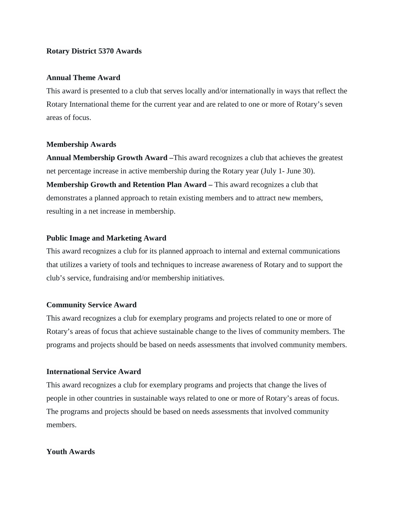## **Rotary District 5370 Awards**

## **Annual Theme Award**

This award is presented to a club that serves locally and/or internationally in ways that reflect the Rotary International theme for the current year and are related to one or more of Rotary's seven areas of focus.

#### **Membership Awards**

**Annual Membership Growth Award –**This award recognizes a club that achieves the greatest net percentage increase in active membership during the Rotary year (July 1- June 30). **Membership Growth and Retention Plan Award –** This award recognizes a club that demonstrates a planned approach to retain existing members and to attract new members, resulting in a net increase in membership.

## **Public Image and Marketing Award**

This award recognizes a club for its planned approach to internal and external communications that utilizes a variety of tools and techniques to increase awareness of Rotary and to support the club's service, fundraising and/or membership initiatives.

#### **Community Service Award**

This award recognizes a club for exemplary programs and projects related to one or more of Rotary's areas of focus that achieve sustainable change to the lives of community members. The programs and projects should be based on needs assessments that involved community members.

## **International Service Award**

This award recognizes a club for exemplary programs and projects that change the lives of people in other countries in sustainable ways related to one or more of Rotary's areas of focus. The programs and projects should be based on needs assessments that involved community members.

## **Youth Awards**